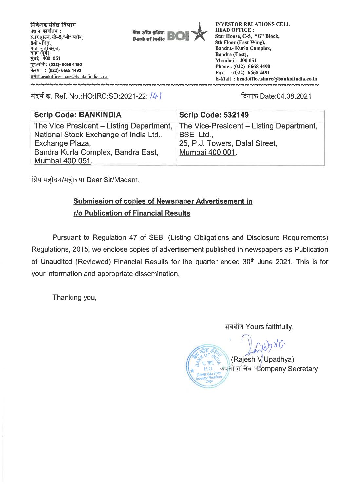

संदर्भ क्र. Ref. No.:HO:IRC:SD:2021-22: /4 | संदर्भ क्र. विनांक Date:04.08.2021

| <b>Scrip Code: BANKINDIA</b>                                                                                                                                   | <b>Scrip Code: 532149</b>                                                                                  |  |  |  |  |  |
|----------------------------------------------------------------------------------------------------------------------------------------------------------------|------------------------------------------------------------------------------------------------------------|--|--|--|--|--|
| The Vice President – Listing Department,<br>National Stock Exchange of India Ltd.,<br>Exchange Plaza,<br>Bandra Kurla Complex, Bandra East,<br>Mumbai 400 051. | The Vice-President – Listing Department,<br>BSE Ltd.,<br>25, P.J. Towers, Dalal Street,<br>Mumbai 400 001. |  |  |  |  |  |

प्रिय महोदय/महोदया Dear Sir/Madam,

## **Submission of copies of Newspaper Advertisement in r/o Publication of Financial Results**

Pursuant to Regulation 47 of SEBI (Listing Obligations and Disclosure Requirements) Regulations, 2015, we enclose copies of advertisement published in newspapers as Publication of Unaudited (Reviewed) Financial Results for the quarter ended 30<sup>th</sup> June 2021. This is for your information and appropriate dissemination.

Thanking you,

भवदीय Yours faithfully,

 $(1)$ (I/ a OF /A, '. (Rajesh V Upadhya) g.V. कंपनी सचिव<sup>्</sup>Company Secretary Pasta Relations<br>Investor Relations<br>Dept.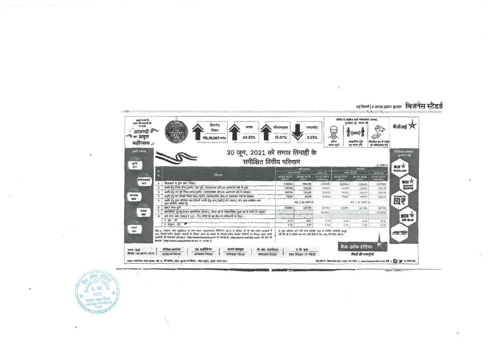

नई दिल्ली | 4 अगस्त 2021 बुधवार बिज़नेस स्टैंडर्ड

 $\Delta$ 

प्र. का. 'n  $H.O.$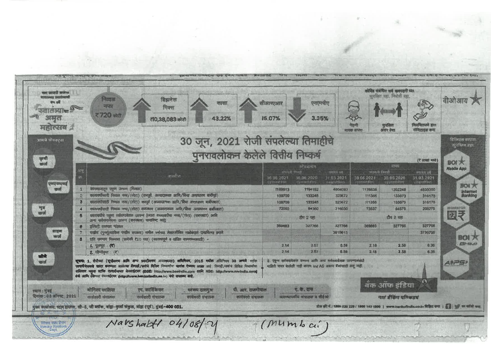| पशा साजरी करूपा<br><b>Stereoffen</b><br>$- a$<br>ामन<br>महोत्सव 2 | निव्यळ<br>बिझनेस<br>कासा<br>नफा<br>मिक्स<br>₹720 ਕੀਟੀ<br>43.22%<br>र10,38,083 कोटी                                                                                                                                                                                                                                                                                                                                                                                                                                                                                                                       | सलारएआर<br>15.07% | एनएनपीए<br>3.35%                         |                        | ने हमी<br>मास्क बापरा | कोविड संबंधित सर्व खबरदारी च्या.<br>सर्वजैस्त रहा, लिखेमी रहा<br>अंतर ठेवा | नेयमितपणे हात<br>समिटाइस करा                                                                          | वीओआय                              |  |
|-------------------------------------------------------------------|----------------------------------------------------------------------------------------------------------------------------------------------------------------------------------------------------------------------------------------------------------------------------------------------------------------------------------------------------------------------------------------------------------------------------------------------------------------------------------------------------------------------------------------------------------------------------------------------------------|-------------------|------------------------------------------|------------------------|-----------------------|----------------------------------------------------------------------------|-------------------------------------------------------------------------------------------------------|------------------------------------|--|
| आमचे प्रोडक्टरा                                                   | 30 जून, 2021 रोजी संपलेल्या तिमाहीचे                                                                                                                                                                                                                                                                                                                                                                                                                                                                                                                                                                     |                   |                                          |                        |                       |                                                                            |                                                                                                       | डिजिटेस वापरा<br>न्त्यातिहत न्यारा |  |
|                                                                   | पुनरावलोकन केलेले वित्तीय निष्कर्ष                                                                                                                                                                                                                                                                                                                                                                                                                                                                                                                                                                       |                   |                                          |                        |                       |                                                                            |                                                                                                       |                                    |  |
| कृषा<br>zerof                                                     |                                                                                                                                                                                                                                                                                                                                                                                                                                                                                                                                                                                                          |                   |                                          |                        |                       |                                                                            | (रे साखां मध्ये)                                                                                      | BOI大                               |  |
|                                                                   | 田                                                                                                                                                                                                                                                                                                                                                                                                                                                                                                                                                                                                        | worst from        | स्टब्रअलॉम                               |                        | जपत्वली विमारी        | 73313                                                                      |                                                                                                       | <b>Mobile App</b>                  |  |
|                                                                   | तपशील                                                                                                                                                                                                                                                                                                                                                                                                                                                                                                                                                                                                    | 30.06.2021        | 30.06.2020                               | zimok mi<br>31.03.2021 | 30 06 2021            | 36.06.2020                                                                 | WITH LINE<br>31.03.2021                                                                               |                                    |  |
| <u>इमए सएमह</u>                                                   |                                                                                                                                                                                                                                                                                                                                                                                                                                                                                                                                                                                                          | Esperante #182    | <b>TERRIFICATIO</b>                      | <b>GONFORTAINS</b>     | पूर्णगायनोतीसहर       | 不管中心的机构过去                                                                  | campelding).                                                                                          | <b>BOI</b> <sub>7</sub>            |  |
| कर्ज                                                              | कामकामातून एकम उत्पन्न (निवाळ)<br>कालवधीसाठी निवाळ नगर/(तोटा) (कायूर्व, अपवादात्मक आणि/किंवा असाधारण कारीपूर्व)                                                                                                                                                                                                                                                                                                                                                                                                                                                                                          | 1169813           | 1194152<br>133245                        | 4804093                | 1176638               | 1202248                                                                    | 4835000                                                                                               | Internet<br>Banking                |  |
|                                                                   | कासायधीसाठी निवाळ नगर/(तीटा) करपूर्व (अपवादात्मक आणि/किंवा असाधारण बाबीपबात)<br>3                                                                                                                                                                                                                                                                                                                                                                                                                                                                                                                        | 109709<br>109709  | 133245                                   | 323672<br>323672       | 111355<br>111355      | 133573<br>133573                                                           | 316178<br>316178                                                                                      |                                    |  |
| णुष्ठ<br>स्राज                                                    | नवआयधीसाठी निवाळ नगर/(तोटा) करपशत (अपवादात्मवा आणि/विचा असाधारण बाबींपश्चात)                                                                                                                                                                                                                                                                                                                                                                                                                                                                                                                             | 72000             | 84360                                    | 216030                 | 73537                 | <b>B4578</b>                                                               | 208275                                                                                                | <b>ШНАЛИЗУОР</b>                   |  |
|                                                                   | वडलायधीचे एकूण सर्वसमावेशक जयन्त (ज्यात वडलावधीया नग्त/(तोटा) (फायबात) आणि<br>अन्य सर्वसमावेशक उत्पन्न (करणशत) समाविष्ट आहे                                                                                                                                                                                                                                                                                                                                                                                                                                                                              |                   | ਟੀਧ 2 ਧਲ                                 |                        |                       | टीप 2 पहा                                                                  |                                                                                                       | 図マ                                 |  |
|                                                                   | इक्विटी सममाग पांडवल<br>8                                                                                                                                                                                                                                                                                                                                                                                                                                                                                                                                                                                | 369683            | 327768                                   | 327766                 | 389883                | 327766                                                                     | 327768                                                                                                |                                    |  |
| वाहन<br>ਲਾਰ                                                       | श्चतीय (पुनर्भूल्यांगिना राखीव काळता) मानील वर्षांच्या लेखापरीक्षित ताळेवंदात दाखविल्या प्रमाणे                                                                                                                                                                                                                                                                                                                                                                                                                                                                                                          |                   |                                          | 3615613                |                       |                                                                            | 3739795                                                                                               |                                    |  |
|                                                                   | प्रति समयाग मिळवत्रा (प्रत्येकी १10 च्या) (सातत्व्यपूर्ण व खंडीत वामवान्यासाठी) -                                                                                                                                                                                                                                                                                                                                                                                                                                                                                                                        |                   |                                          |                        |                       |                                                                            |                                                                                                       | <b>BOI 大</b><br><b>ETHING</b>      |  |
|                                                                   | $1.$ $\frac{1}{20}$ $\frac{1}{20}$ $\cdots$ $\left(\frac{1}{2}\right)$                                                                                                                                                                                                                                                                                                                                                                                                                                                                                                                                   | 2.14              | 2.57                                     | 6.59<br>6.59           | 2.18                  | 2.58                                                                       | 6.36                                                                                                  |                                    |  |
| जीने                                                              | 2. सीम्पीड़ल : (१)                                                                                                                                                                                                                                                                                                                                                                                                                                                                                                                                                                                       | 2.14              | 2.57                                     |                        | 2.18                  | 2.58                                                                       | 6.35                                                                                                  |                                    |  |
| <b>ancof</b>                                                      | 2. एकृण सर्वसमायेशना जत्पन्न आणि अन्य सर्वसमायेशक उत्पन्नासंबंधी<br>सूचना: 1. सेपीच्या (सूचीवन्त्य आणि अन्य प्रकारीवनय आवाश्यकता) अधिनियम, 2015 मधील अधिनियम 33 अन्यंत्रे स्टॉक<br>माहिती सादर केलेली नाही कारण ind AS अधान बेकांसाठी लागू नाही<br>एक्सवर्केजेसकडे सादर करण्यात आलेल्या तिमाही/कर्मचे विजिय निच्चलांचा सारांश देण्यात आक्रा आहे. तिमाही/वर्चाचे विभिन्न निच्छर्वाचा<br>सबित्तर नमुना स्टॉक एक्सरॉजच्या वेयसाईटवर (BSE: http://www.baoindia.com आणि NSE: http://www.nseindia.com)<br>बेथे आणि कीच्या वेबसाइंटमर (http://www.banicolindfa.co.in) बेथे स्पराध्य आहे.<br>۲Đ<br>बँक ऑफ इंडिया |                   |                                          |                        |                       |                                                                            |                                                                                                       |                                    |  |
| स्थान: मुबाई<br>टिनाक : 03 जागस्ट, 2021                           | पी. आर. शजनोपाल<br>मोनिका कालिया<br>एम. कार्तिकयन<br>स्वरूप दारागृप्ता<br>कार्यकारी संचालक<br>कार्यकारी संचालन<br>कार्यकारी संचालक<br>कार्यकारी संघालक                                                                                                                                                                                                                                                                                                                                                                                                                                                   |                   | ए. के. दास<br>व्यवस्थापशीय संचालक व सीईओ |                        |                       | नातं बैंकिंग पतिकडशं                                                       |                                                                                                       |                                    |  |
|                                                                   | गुख्य कार्यालय: स्टार हाउन्स, शी-5, जी बर्जेक, वांडा-कुर्ला संकुल, बांडा (पूर्व), मुंबई-400 051.                                                                                                                                                                                                                                                                                                                                                                                                                                                                                                         |                   |                                          |                        |                       |                                                                            | दोल की नं.: 1800 220 228 / 1800 103 1900   www.barikofindia.co.in विक्रिट राण   हिंडी कि अर फॉसो कता. |                                    |  |
|                                                                   |                                                                                                                                                                                                                                                                                                                                                                                                                                                                                                                                                                                                          |                   |                                          |                        |                       |                                                                            |                                                                                                       |                                    |  |
| निवेडक संस्था जिमान                                               | Navshalt 04/08/7                                                                                                                                                                                                                                                                                                                                                                                                                                                                                                                                                                                         |                   | (MUmbaci)                                |                        |                       |                                                                            |                                                                                                       |                                    |  |